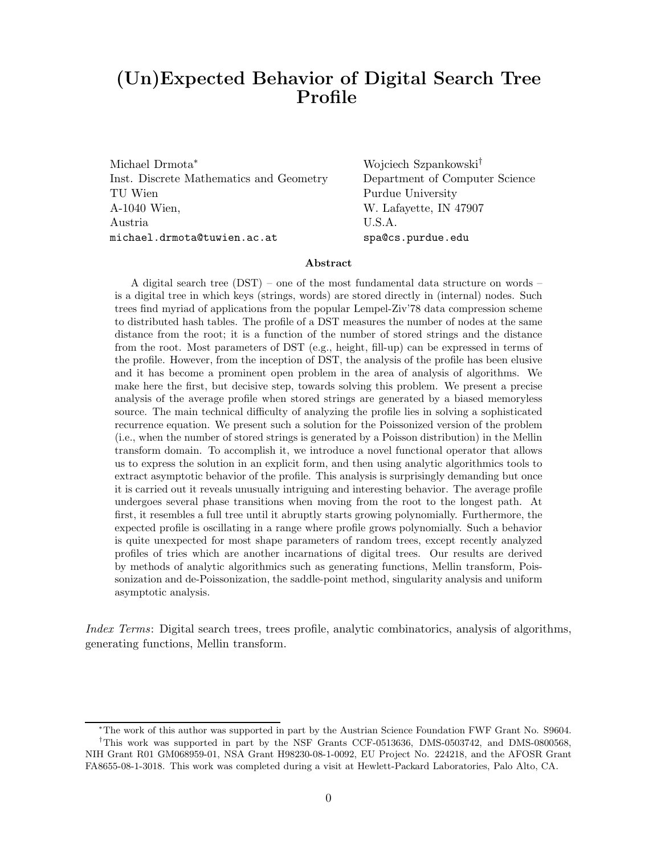# (Un)Expected Behavior of Digital Search Tree Profile

Michael Drmota<sup>∗</sup> Wojciech Szpankowski† Inst. Discrete Mathematics and Geometry Department of Computer Science TU Wien Purdue University A-1040 Wien, W. Lafayette, IN 47907 Austria U.S.A. michael.drmota@tuwien.ac.at spa@cs.purdue.edu

#### Abstract

A digital search tree (DST) – one of the most fundamental data structure on words – is a digital tree in which keys (strings, words) are stored directly in (internal) nodes. Such trees find myriad of applications from the popular Lempel-Ziv'78 data compression scheme to distributed hash tables. The profile of a DST measures the number of nodes at the same distance from the root; it is a function of the number of stored strings and the distance from the root. Most parameters of DST (e.g., height, fill-up) can be expressed in terms of the profile. However, from the inception of DST, the analysis of the profile has been elusive and it has become a prominent open problem in the area of analysis of algorithms. We make here the first, but decisive step, towards solving this problem. We present a precise analysis of the average profile when stored strings are generated by a biased memoryless source. The main technical difficulty of analyzing the profile lies in solving a sophisticated recurrence equation. We present such a solution for the Poissonized version of the problem (i.e., when the number of stored strings is generated by a Poisson distribution) in the Mellin transform domain. To accomplish it, we introduce a novel functional operator that allows us to express the solution in an explicit form, and then using analytic algorithmics tools to extract asymptotic behavior of the profile. This analysis is surprisingly demanding but once it is carried out it reveals unusually intriguing and interesting behavior. The average profile undergoes several phase transitions when moving from the root to the longest path. At first, it resembles a full tree until it abruptly starts growing polynomially. Furthermore, the expected profile is oscillating in a range where profile grows polynomially. Such a behavior is quite unexpected for most shape parameters of random trees, except recently analyzed profiles of tries which are another incarnations of digital trees. Our results are derived by methods of analytic algorithmics such as generating functions, Mellin transform, Poissonization and de-Poissonization, the saddle-point method, singularity analysis and uniform asymptotic analysis.

Index Terms: Digital search trees, trees profile, analytic combinatorics, analysis of algorithms, generating functions, Mellin transform.

<sup>∗</sup>The work of this author was supported in part by the Austrian Science Foundation FWF Grant No. S9604. †This work was supported in part by the NSF Grants CCF-0513636, DMS-0503742, and DMS-0800568, NIH Grant R01 GM068959-01, NSA Grant H98230-08-1-0092, EU Project No. 224218, and the AFOSR Grant FA8655-08-1-3018. This work was completed during a visit at Hewlett-Packard Laboratories, Palo Alto, CA.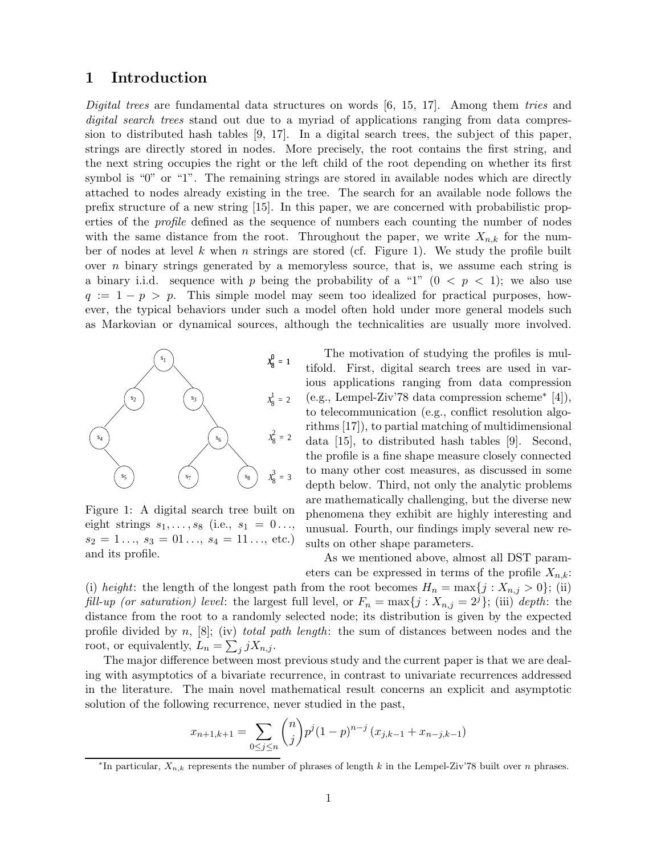## 1 Introduction

Digital trees are fundamental data structures on words  $[6, 15, 17]$ . Among them tries and digital search trees stand out due to a myriad of applications ranging from data compression to distributed hash tables [9, 17]. In a digital search trees, the subject of this paper, strings are directly stored in nodes. More precisely, the root contains the first string, and the next string occupies the right or the left child of the root depending on whether its first symbol is "0" or "1". The remaining strings are stored in available nodes which are directly attached to nodes already existing in the tree. The search for an available node follows the prefix structure of a new string [15]. In this paper, we are concerned with probabilistic properties of the profile defined as the sequence of numbers each counting the number of nodes with the same distance from the root. Throughout the paper, we write  $X_{n,k}$  for the number of nodes at level k when n strings are stored (cf. Figure 1). We study the profile built over  $n$  binary strings generated by a memoryless source, that is, we assume each string is a binary i.i.d. sequence with p being the probability of a "1"  $(0 < p < 1)$ ; we also use  $q := 1 - p > p$ . This simple model may seem too idealized for practical purposes, however, the typical behaviors under such a model often hold under more general models such as Markovian or dynamical sources, although the technicalities are usually more involved.



Figure 1: A digital search tree built on eight strings  $s_1, \ldots, s_8$  (i.e.,  $s_1 = 0 \ldots$ ,  $s_2 = 1 \ldots, s_3 = 01 \ldots, s_4 = 11 \ldots,$  etc.) and its profile.

The motivation of studying the profiles is multifold. First, digital search trees are used in various applications ranging from data compression (e.g., Lempel-Ziv'78 data compression scheme<sup>∗</sup> [4]), to telecommunication (e.g., conflict resolution algorithms [17]), to partial matching of multidimensional data [15], to distributed hash tables [9]. Second, the profile is a fine shape measure closely connected to many other cost measures, as discussed in some depth below. Third, not only the analytic problems are mathematically challenging, but the diverse new phenomena they exhibit are highly interesting and unusual. Fourth, our findings imply several new results on other shape parameters.

As we mentioned above, almost all DST param-

eters can be expressed in terms of the profile  $X_{n,k}$ : (i) height: the length of the longest path from the root becomes  $H_n = \max\{j : X_{n,j} > 0\};$  (ii) fill-up (or saturation) level: the largest full level, or  $F_n = \max\{j : X_{n,j} = 2^j\}$ ; (iii) depth: the distance from the root to a randomly selected node; its distribution is given by the expected profile divided by  $n$ ,  $[8]$ ; (iv) total path length: the sum of distances between nodes and the root, or equivalently,  $L_n = \sum_j j X_{n,j}$ .

The major difference between most previous study and the current paper is that we are dealing with asymptotics of a bivariate recurrence, in contrast to univariate recurrences addressed in the literature. The main novel mathematical result concerns an explicit and asymptotic solution of the following recurrence, never studied in the past,

$$
x_{n+1,k+1} = \sum_{0 \le j \le n} \binom{n}{j} p^j (1-p)^{n-j} (x_{j,k-1} + x_{n-j,k-1})
$$

<sup>&</sup>lt;sup>\*</sup>In particular,  $X_{n,k}$  represents the number of phrases of length k in the Lempel-Ziv'78 built over n phrases.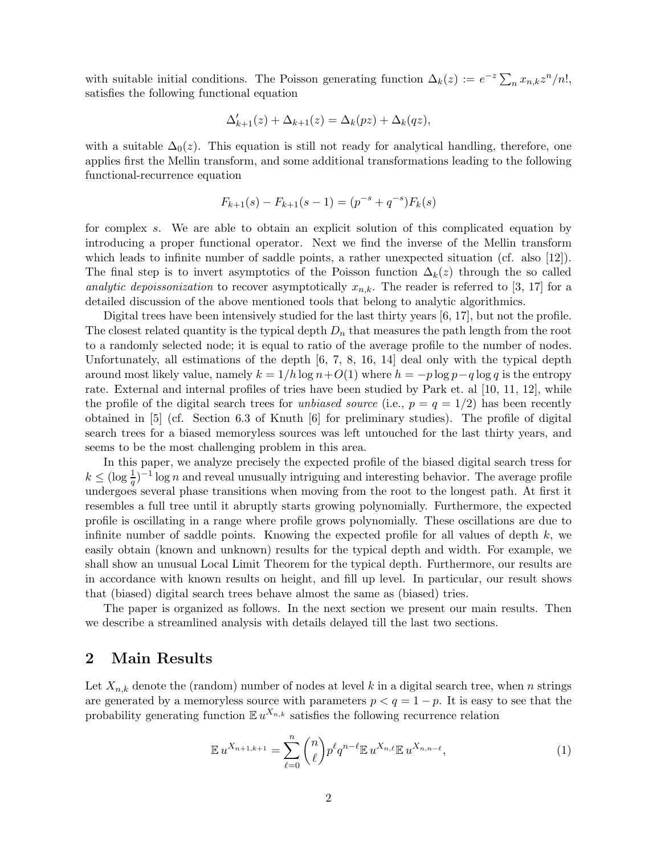with suitable initial conditions. The Poisson generating function  $\Delta_k(z) := e^{-z} \sum_n x_{n,k} z^n/n!$ , satisfies the following functional equation

$$
\Delta'_{k+1}(z) + \Delta_{k+1}(z) = \Delta_k(pz) + \Delta_k(qz),
$$

with a suitable  $\Delta_0(z)$ . This equation is still not ready for analytical handling, therefore, one applies first the Mellin transform, and some additional transformations leading to the following functional-recurrence equation

$$
F_{k+1}(s) - F_{k+1}(s-1) = (p^{-s} + q^{-s})F_k(s)
$$

for complex s. We are able to obtain an explicit solution of this complicated equation by introducing a proper functional operator. Next we find the inverse of the Mellin transform which leads to infinite number of saddle points, a rather unexpected situation (cf. also  $(12)$ ). The final step is to invert asymptotics of the Poisson function  $\Delta_k(z)$  through the so called analytic depoissonization to recover asymptotically  $x_{n,k}$ . The reader is referred to [3, 17] for a detailed discussion of the above mentioned tools that belong to analytic algorithmics.

Digital trees have been intensively studied for the last thirty years [6, 17], but not the profile. The closest related quantity is the typical depth  $D_n$  that measures the path length from the root to a randomly selected node; it is equal to ratio of the average profile to the number of nodes. Unfortunately, all estimations of the depth [6, 7, 8, 16, 14] deal only with the typical depth around most likely value, namely  $k = 1/h \log n + O(1)$  where  $h = -p \log p - q \log q$  is the entropy rate. External and internal profiles of tries have been studied by Park et. al [10, 11, 12], while the profile of the digital search trees for unbiased source (i.e.,  $p = q = 1/2$ ) has been recently obtained in  $\overline{5}$  (cf. Section 6.3 of Knuth  $\overline{6}$ ) for preliminary studies). The profile of digital search trees for a biased memoryless sources was left untouched for the last thirty years, and seems to be the most challenging problem in this area.

In this paper, we analyze precisely the expected profile of the biased digital search tress for  $k \leq (\log \frac{1}{q})^{-1} \log n$  and reveal unusually intriguing and interesting behavior. The average profile undergoes several phase transitions when moving from the root to the longest path. At first it resembles a full tree until it abruptly starts growing polynomially. Furthermore, the expected profile is oscillating in a range where profile grows polynomially. These oscillations are due to infinite number of saddle points. Knowing the expected profile for all values of depth  $k$ , we easily obtain (known and unknown) results for the typical depth and width. For example, we shall show an unusual Local Limit Theorem for the typical depth. Furthermore, our results are in accordance with known results on height, and fill up level. In particular, our result shows that (biased) digital search trees behave almost the same as (biased) tries.

The paper is organized as follows. In the next section we present our main results. Then we describe a streamlined analysis with details delayed till the last two sections.

#### 2 Main Results

Let  $X_{n,k}$  denote the (random) number of nodes at level k in a digital search tree, when n strings are generated by a memoryless source with parameters  $p < q = 1 - p$ . It is easy to see that the probability generating function  $\mathbb{E} u^{X_{n,k}}$  satisfies the following recurrence relation

$$
\mathbb{E} u^{X_{n+1,k+1}} = \sum_{\ell=0}^{n} \binom{n}{\ell} p^{\ell} q^{n-\ell} \mathbb{E} u^{X_{n,\ell}} \mathbb{E} u^{X_{n,n-\ell}},\tag{1}
$$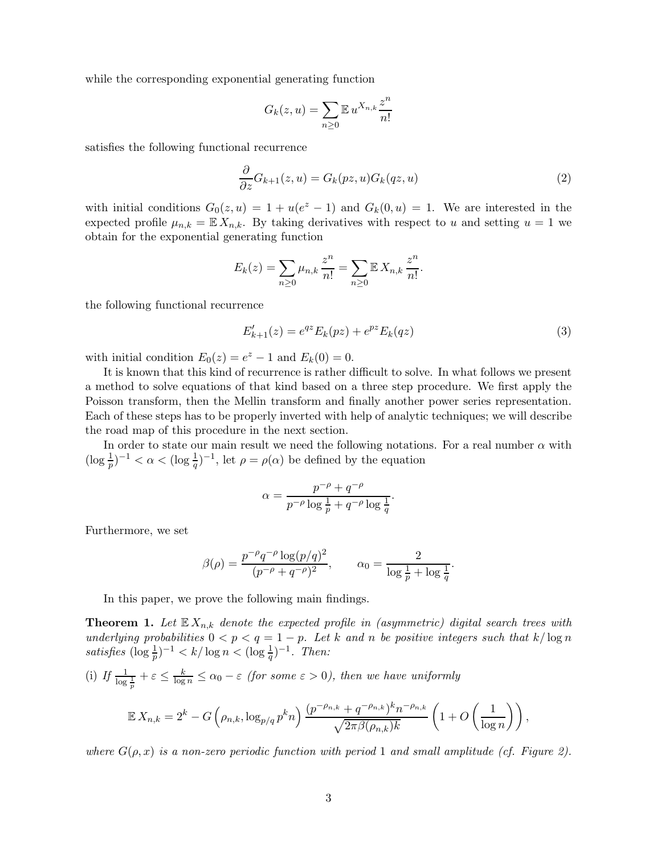while the corresponding exponential generating function

$$
G_k(z, u) = \sum_{n \ge 0} \mathbb{E} u^{X_{n,k}} \frac{z^n}{n!}
$$

satisfies the following functional recurrence

$$
\frac{\partial}{\partial z}G_{k+1}(z,u) = G_k(pz,u)G_k(qz,u)
$$
\n(2)

with initial conditions  $G_0(z, u) = 1 + u(e^z - 1)$  and  $G_k(0, u) = 1$ . We are interested in the expected profile  $\mu_{n,k} = \mathbb{E} X_{n,k}$ . By taking derivatives with respect to u and setting  $u = 1$  we obtain for the exponential generating function

$$
E_k(z) = \sum_{n \ge 0} \mu_{n,k} \, \frac{z^n}{n!} = \sum_{n \ge 0} \mathbb{E} \, X_{n,k} \, \frac{z^n}{n!}.
$$

the following functional recurrence

$$
E'_{k+1}(z) = e^{qz} E_k(pz) + e^{pz} E_k(qz)
$$
\n(3)

with initial condition  $E_0(z) = e^z - 1$  and  $E_k(0) = 0$ .

It is known that this kind of recurrence is rather difficult to solve. In what follows we present a method to solve equations of that kind based on a three step procedure. We first apply the Poisson transform, then the Mellin transform and finally another power series representation. Each of these steps has to be properly inverted with help of analytic techniques; we will describe the road map of this procedure in the next section.

In order to state our main result we need the following notations. For a real number  $\alpha$  with  $(\log \frac{1}{p})^{-1} < \alpha < (\log \frac{1}{q})^{-1}$ , let  $\rho = \rho(\alpha)$  be defined by the equation

$$
\alpha = \frac{p^{-\rho} + q^{-\rho}}{p^{-\rho} \log \frac{1}{p} + q^{-\rho} \log \frac{1}{q}}.
$$

Furthermore, we set

$$
\beta(\rho) = \frac{p^{-\rho}q^{-\rho}\log(p/q)^2}{(p^{-\rho} + q^{-\rho})^2}, \qquad \alpha_0 = \frac{2}{\log\frac{1}{p} + \log\frac{1}{q}}.
$$

In this paper, we prove the following main findings.

**Theorem 1.** Let  $\mathbb{E} X_{n,k}$  denote the expected profile in (asymmetric) digital search trees with underlying probabilities  $0 < p < q = 1 - p$ . Let k and n be positive integers such that  $k/\log n$ satisfies  $(\log \frac{1}{p})^{-1} < k / \log n < (\log \frac{1}{q})^{-1}$ . Then:

(i) If  $\frac{1}{\log \frac{1}{p}} + \varepsilon \leq \frac{k}{\log n} \leq \alpha_0 - \varepsilon$  (for some  $\varepsilon > 0$ ), then we have uniformly

$$
\mathbb{E} X_{n,k} = 2^k - G\left(\rho_{n,k}, \log_{p/q} p^k n\right) \frac{(p^{-\rho_{n,k}} + q^{-\rho_{n,k}})^k n^{-\rho_{n,k}}}{\sqrt{2\pi \beta(\rho_{n,k})k}} \left(1 + O\left(\frac{1}{\log n}\right)\right),
$$

where  $G(\rho, x)$  is a non-zero periodic function with period 1 and small amplitude (cf. Figure 2).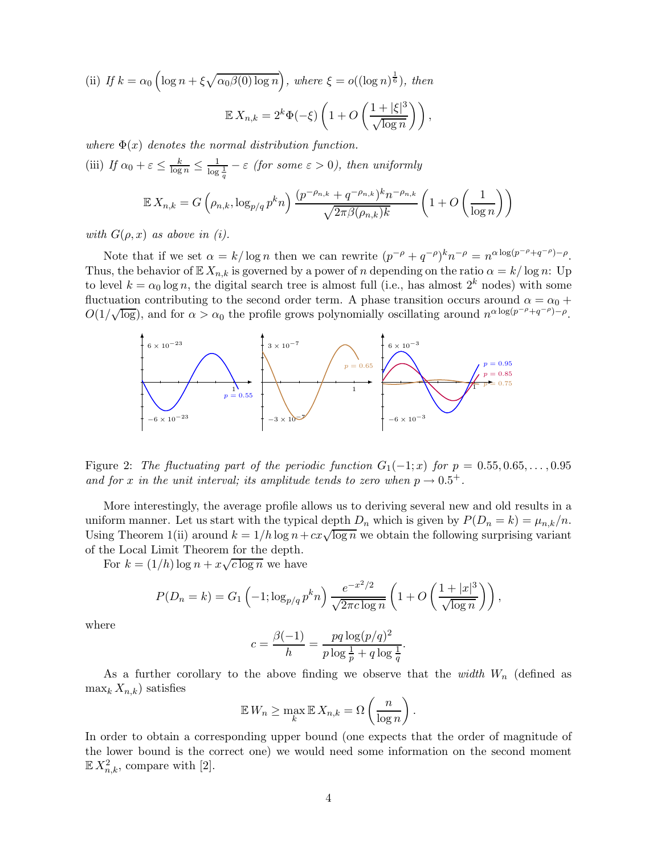(ii) If 
$$
k = \alpha_0 \left( \log n + \xi \sqrt{\alpha_0 \beta(0) \log n} \right)
$$
, where  $\xi = o((\log n)^{\frac{1}{6}})$ , then  
\n
$$
\mathbb{E} X_{n,k} = 2^k \Phi(-\xi) \left( 1 + O\left(\frac{1 + |\xi|^3}{\sqrt{\log n}}\right) \right),
$$

where  $\Phi(x)$  denotes the normal distribution function.

(iii) If  $\alpha_0 + \varepsilon \le \frac{k}{\log n} \le \frac{1}{\log \frac{1}{q}} - \varepsilon$  (for some  $\varepsilon > 0$ ), then uniformly

$$
\mathbb{E} X_{n,k} = G\left(\rho_{n,k}, \log_{p/q} p^k n\right) \frac{(p^{-\rho_{n,k}} + q^{-\rho_{n,k}})^k n^{-\rho_{n,k}}}{\sqrt{2\pi \beta(\rho_{n,k})k}} \left(1 + O\left(\frac{1}{\log n}\right)\right)
$$

with  $G(\rho, x)$  as above in (i).

Note that if we set  $\alpha = k/\log n$  then we can rewrite  $(p^{-\rho} + q^{-\rho})^k n^{-\rho} = n^{\alpha \log (p^{-\rho} + q^{-\rho}) - \rho}$ . Thus, the behavior of  $\mathbb{E} X_{n,k}$  is governed by a power of n depending on the ratio  $\alpha = k/\log n$ : Up to level  $k = \alpha_0 \log n$ , the digital search tree is almost full (i.e., has almost  $2^k$  nodes) with some fluctuation contributing to the second order term. A phase transition occurs around  $\alpha = \alpha_0 + \alpha_1$  $O(1/\sqrt{\log})$ , and for  $\alpha > \alpha_0$  the profile grows polynomially oscillating around  $n^{\alpha \log(p-\rho)}-p$ .



Figure 2: The fluctuating part of the periodic function  $G_1(-1; x)$  for  $p = 0.55, 0.65, \ldots, 0.95$ and for x in the unit interval; its amplitude tends to zero when  $p \rightarrow 0.5^+$ .

More interestingly, the average profile allows us to deriving several new and old results in a uniform manner. Let us start with the typical depth  $D_n$  which is given by  $P(D_n = k) = \mu_{n,k}/n$ . Using Theorem 1(ii) around  $k = 1/h \log n + cx\sqrt{\log n}$  we obtain the following surprising variant of the Local Limit Theorem for the depth.

For  $k = (1/h) \log n + x \sqrt{c \log n}$  we have

$$
P(D_n = k) = G_1\left(-1; \log_{p/q} p^k n\right) \frac{e^{-x^2/2}}{\sqrt{2\pi c \log n}} \left(1 + O\left(\frac{1+|x|^3}{\sqrt{\log n}}\right)\right),
$$

where

$$
c = \frac{\beta(-1)}{h} = \frac{pq \log(p/q)^2}{p \log \frac{1}{p} + q \log \frac{1}{q}}.
$$

As a further corollary to the above finding we observe that the width  $W_n$  (defined as  $\max_k X_{n,k}$ ) satisfies

$$
\mathbb{E} W_n \ge \max_k \mathbb{E} X_{n,k} = \Omega \left( \frac{n}{\log n} \right).
$$

In order to obtain a corresponding upper bound (one expects that the order of magnitude of the lower bound is the correct one) we would need some information on the second moment  $\mathbb{E} X_{n,k}^2$ , compare with [2].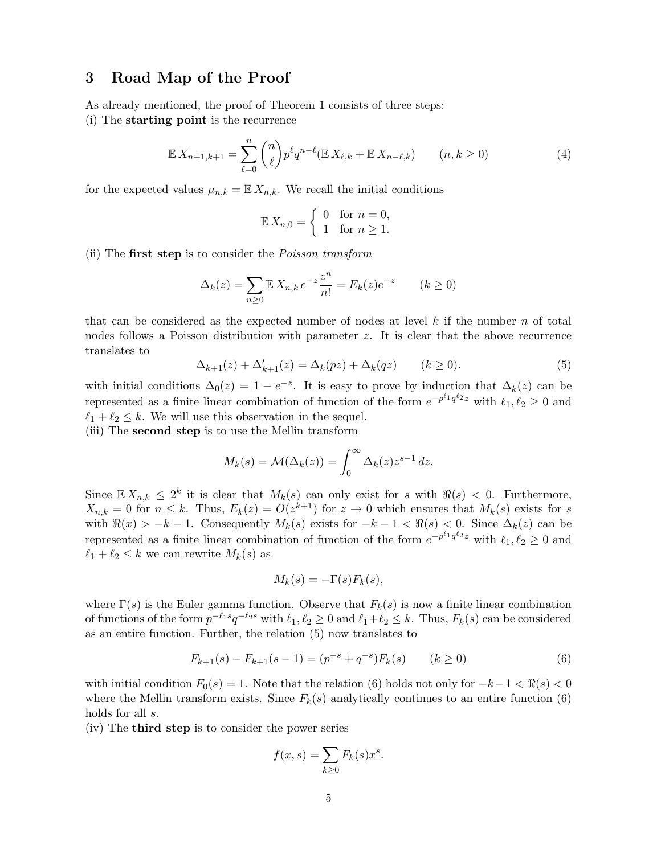### 3 Road Map of the Proof

As already mentioned, the proof of Theorem 1 consists of three steps:

(i) The starting point is the recurrence

$$
\mathbb{E} X_{n+1,k+1} = \sum_{\ell=0}^{n} \binom{n}{\ell} p^{\ell} q^{n-\ell} (\mathbb{E} X_{\ell,k} + \mathbb{E} X_{n-\ell,k}) \qquad (n,k \ge 0)
$$
\n
$$
(4)
$$

for the expected values  $\mu_{n,k} = \mathbb{E} X_{n,k}$ . We recall the initial conditions

$$
\mathbb{E} X_{n,0} = \begin{cases} 0 & \text{for } n = 0, \\ 1 & \text{for } n \ge 1. \end{cases}
$$

(ii) The first step is to consider the Poisson transform

$$
\Delta_k(z) = \sum_{n \ge 0} \mathbb{E} X_{n,k} e^{-z} \frac{z^n}{n!} = E_k(z) e^{-z} \qquad (k \ge 0)
$$

that can be considered as the expected number of nodes at level  $k$  if the number n of total nodes follows a Poisson distribution with parameter z. It is clear that the above recurrence translates to

$$
\Delta_{k+1}(z) + \Delta'_{k+1}(z) = \Delta_k(pz) + \Delta_k(qz) \qquad (k \ge 0).
$$
 (5)

with initial conditions  $\Delta_0(z) = 1 - e^{-z}$ . It is easy to prove by induction that  $\Delta_k(z)$  can be represented as a finite linear combination of function of the form  $e^{-p^{\ell_1}q^{\ell_2}z}$  with  $\ell_1, \ell_2 \ge 0$  and  $\ell_1 + \ell_2 \leq k$ . We will use this observation in the sequel.

(iii) The second step is to use the Mellin transform

$$
M_k(s) = \mathcal{M}(\Delta_k(z)) = \int_0^\infty \Delta_k(z) z^{s-1} dz.
$$

Since  $\mathbb{E} X_{n,k} \leq 2^k$  it is clear that  $M_k(s)$  can only exist for s with  $\Re(s) < 0$ . Furthermore,  $X_{n,k} = 0$  for  $n \leq k$ . Thus,  $E_k(z) = O(z^{k+1})$  for  $z \to 0$  which ensures that  $M_k(s)$  exists for s with  $\Re(x) > -k - 1$ . Consequently  $M_k(s)$  exists for  $-k-1 < \Re(s) < 0$ . Since  $\Delta_k(z)$  can be represented as a finite linear combination of function of the form  $e^{-p^{\ell_1}q^{\ell_2}z}$  with  $\ell_1, \ell_2 \ge 0$  and  $\ell_1 + \ell_2 \leq k$  we can rewrite  $M_k(s)$  as

$$
M_k(s) = -\Gamma(s)F_k(s),
$$

where  $\Gamma(s)$  is the Euler gamma function. Observe that  $F_k(s)$  is now a finite linear combination of functions of the form  $p^{-\ell_1 s} q^{-\ell_2 s}$  with  $\ell_1, \ell_2 \geq 0$  and  $\ell_1 + \ell_2 \leq k$ . Thus,  $F_k(s)$  can be considered as an entire function. Further, the relation (5) now translates to

$$
F_{k+1}(s) - F_{k+1}(s-1) = (p^{-s} + q^{-s})F_k(s) \qquad (k \ge 0)
$$
\n
$$
(6)
$$

with initial condition  $F_0(s) = 1$ . Note that the relation (6) holds not only for  $-k-1 < \Re(s) < 0$ where the Mellin transform exists. Since  $F_k(s)$  analytically continues to an entire function (6) holds for all s.

(iv) The third step is to consider the power series

$$
f(x,s) = \sum_{k \ge 0} F_k(s) x^s.
$$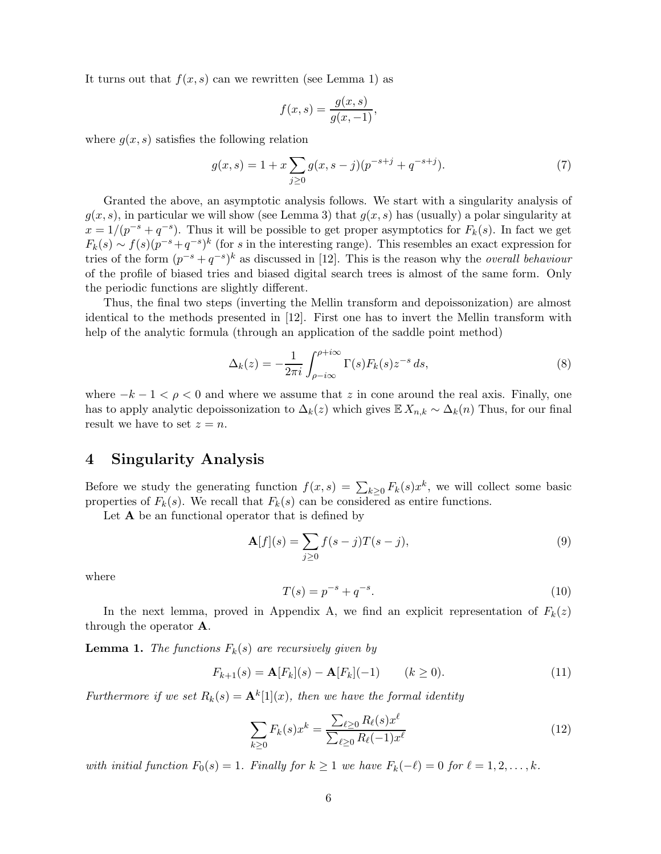It turns out that  $f(x, s)$  can we rewritten (see Lemma 1) as

$$
f(x,s) = \frac{g(x,s)}{g(x,-1)},
$$

where  $q(x, s)$  satisfies the following relation

$$
g(x,s) = 1 + x \sum_{j\geq 0} g(x,s-j)(p^{-s+j} + q^{-s+j}).
$$
\n(7)

Granted the above, an asymptotic analysis follows. We start with a singularity analysis of  $g(x, s)$ , in particular we will show (see Lemma 3) that  $g(x, s)$  has (usually) a polar singularity at  $x = 1/(p^{-s} + q^{-s})$ . Thus it will be possible to get proper asymptotics for  $F_k(s)$ . In fact we get  $F_k(s) \sim f(s)(p^{-s}+q^{-s})^k$  (for s in the interesting range). This resembles an exact expression for tries of the form  $(p^{-s} + q^{-s})^k$  as discussed in [12]. This is the reason why the *overall behaviour* of the profile of biased tries and biased digital search trees is almost of the same form. Only the periodic functions are slightly different.

Thus, the final two steps (inverting the Mellin transform and depoissonization) are almost identical to the methods presented in [12]. First one has to invert the Mellin transform with help of the analytic formula (through an application of the saddle point method)

$$
\Delta_k(z) = -\frac{1}{2\pi i} \int_{\rho - i\infty}^{\rho + i\infty} \Gamma(s) F_k(s) z^{-s} ds,
$$
\n(8)

where  $-k-1 < \rho < 0$  and where we assume that z in cone around the real axis. Finally, one has to apply analytic depoissonization to  $\Delta_k(z)$  which gives  $\mathbb{E} X_{n,k} \sim \Delta_k(n)$  Thus, for our final result we have to set  $z = n$ .

#### 4 Singularity Analysis

Before we study the generating function  $f(x,s) = \sum_{k\geq 0} F_k(s) x^k$ , we will collect some basic properties of  $F_k(s)$ . We recall that  $F_k(s)$  can be considered as entire functions.

Let  $A$  be an functional operator that is defined by

$$
\mathbf{A}[f](s) = \sum_{j\geq 0} f(s-j)T(s-j),\tag{9}
$$

where

$$
T(s) = p^{-s} + q^{-s}.
$$
\n(10)

In the next lemma, proved in Appendix A, we find an explicit representation of  $F_k(z)$ through the operator A.

**Lemma 1.** The functions  $F_k(s)$  are recursively given by

$$
F_{k+1}(s) = \mathbf{A}[F_k](s) - \mathbf{A}[F_k](-1) \qquad (k \ge 0).
$$
 (11)

Furthermore if we set  $R_k(s) = \mathbf{A}^k[1](x)$ , then we have the formal identity

$$
\sum_{k\geq 0} F_k(s)x^k = \frac{\sum_{\ell\geq 0} R_{\ell}(s)x^{\ell}}{\sum_{\ell\geq 0} R_{\ell}(-1)x^{\ell}} \tag{12}
$$

with initial function  $F_0(s) = 1$ . Finally for  $k \ge 1$  we have  $F_k(-\ell) = 0$  for  $\ell = 1, 2, ..., k$ .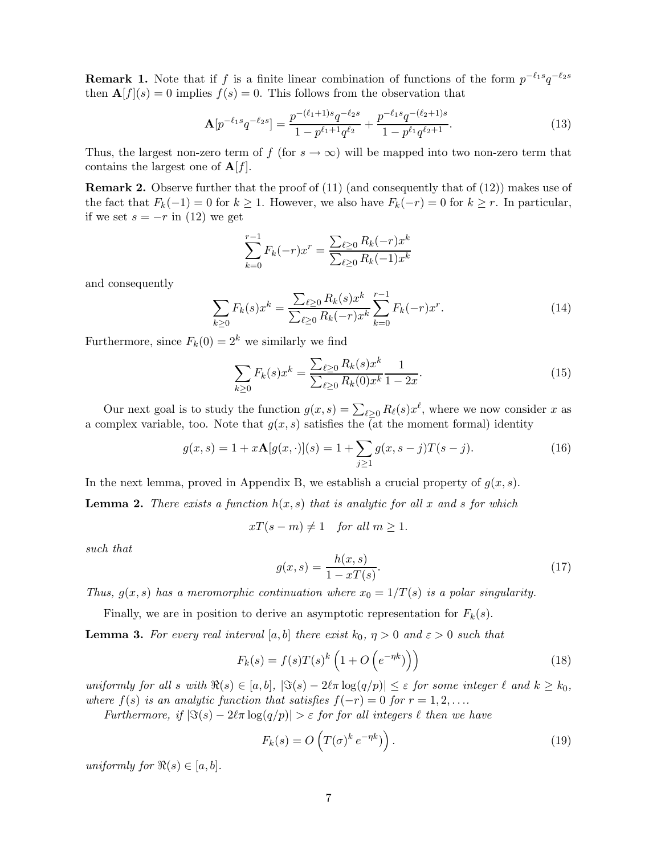**Remark 1.** Note that if f is a finite linear combination of functions of the form  $p^{-\ell_1 s}q^{-\ell_2 s}$ then  $\mathbf{A}[f](s) = 0$  implies  $f(s) = 0$ . This follows from the observation that

$$
\mathbf{A}[p^{-\ell_1 s}q^{-\ell_2 s}] = \frac{p^{-(\ell_1+1)s}q^{-\ell_2 s}}{1 - p^{\ell_1+1}q^{\ell_2}} + \frac{p^{-\ell_1 s}q^{-(\ell_2+1)s}}{1 - p^{\ell_1}q^{\ell_2+1}}.
$$
(13)

Thus, the largest non-zero term of f (for  $s \to \infty$ ) will be mapped into two non-zero term that contains the largest one of  $\mathbf{A}[f]$ .

**Remark 2.** Observe further that the proof of  $(11)$  (and consequently that of  $(12)$ ) makes use of the fact that  $F_k(-1) = 0$  for  $k \ge 1$ . However, we also have  $F_k(-r) = 0$  for  $k \ge r$ . In particular, if we set  $s = -r$  in (12) we get

$$
\sum_{k=0}^{r-1} F_k(-r)x^r = \frac{\sum_{\ell \ge 0} R_k(-r)x^k}{\sum_{\ell \ge 0} R_k(-1)x^k}
$$

and consequently

$$
\sum_{k\geq 0} F_k(s)x^k = \frac{\sum_{\ell\geq 0} R_k(s)x^k}{\sum_{\ell\geq 0} R_k(-r)x^k} \sum_{k=0}^{r-1} F_k(-r)x^r.
$$
\n(14)

Furthermore, since  $F_k(0) = 2^k$  we similarly we find

$$
\sum_{k\geq 0} F_k(s)x^k = \frac{\sum_{\ell\geq 0} R_k(s)x^k}{\sum_{\ell\geq 0} R_k(0)x^k} \frac{1}{1-2x}.
$$
\n(15)

Our next goal is to study the function  $g(x, s) = \sum_{\ell \geq 0} R_{\ell}(s) x^{\ell}$ , where we now consider x as a complex variable, too. Note that  $g(x, s)$  satisfies the (at the moment formal) identity

$$
g(x,s) = 1 + x\mathbf{A}[g(x,\cdot)](s) = 1 + \sum_{j\geq 1} g(x,s-j)T(s-j). \tag{16}
$$

In the next lemma, proved in Appendix B, we establish a crucial property of  $g(x, s)$ .

**Lemma 2.** There exists a function  $h(x, s)$  that is analytic for all x and s for which

$$
xT(s-m) \neq 1 \quad \text{for all } m \geq 1.
$$

such that

$$
g(x,s) = \frac{h(x,s)}{1 - xT(s)}.\tag{17}
$$

Thus,  $g(x, s)$  has a meromorphic continuation where  $x_0 = 1/T(s)$  is a polar singularity.

Finally, we are in position to derive an asymptotic representation for  $F_k(s)$ .

**Lemma 3.** For every real interval [a, b] there exist  $k_0$ ,  $\eta > 0$  and  $\varepsilon > 0$  such that

$$
F_k(s) = f(s)T(s)^k \left(1 + O\left(e^{-\eta k}\right)\right) \tag{18}
$$

uniformly for all s with  $\Re(s) \in [a, b]$ ,  $|\Im(s) - 2\ell \pi \log(q/p)| \leq \varepsilon$  for some integer  $\ell$  and  $k \geq k_0$ , where  $f(s)$  is an analytic function that satisfies  $f(-r) = 0$  for  $r = 1, 2, \ldots$ .

Furthermore, if  $|\Im(s) - 2\ell \pi \log(q/p)| > \varepsilon$  for for all integers  $\ell$  then we have

$$
F_k(s) = O\left(T(\sigma)^k e^{-\eta k}\right).
$$
\n(19)

uniformly for  $\Re(s) \in [a, b]$ .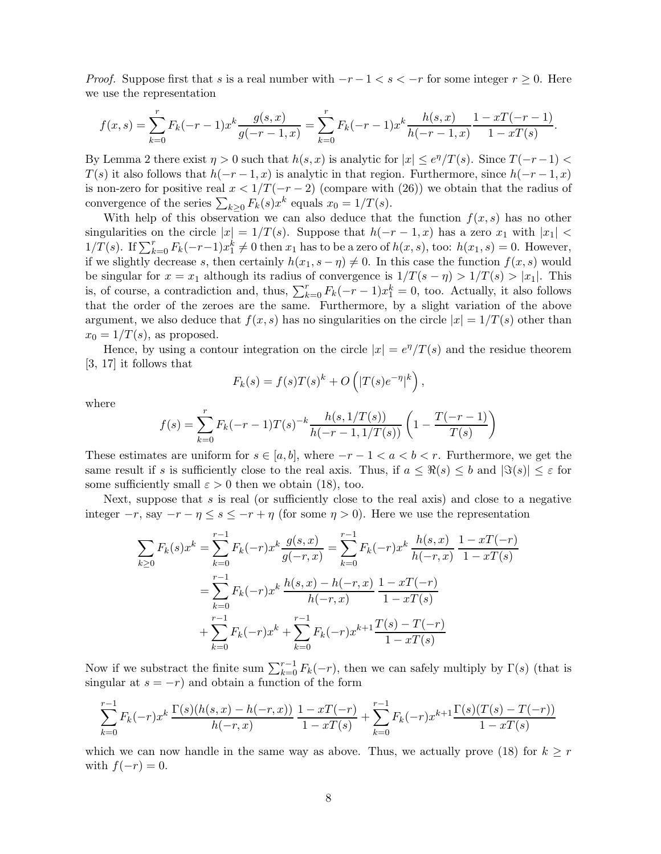*Proof.* Suppose first that s is a real number with  $-r-1 < s < -r$  for some integer  $r \ge 0$ . Here we use the representation

$$
f(x,s) = \sum_{k=0}^{r} F_k(-r-1)x^k \frac{g(s,x)}{g(-r-1,x)} = \sum_{k=0}^{r} F_k(-r-1)x^k \frac{h(s,x)}{h(-r-1,x)} \frac{1 - xT(-r-1)}{1 - xT(s)}.
$$

By Lemma 2 there exist  $\eta > 0$  such that  $h(s, x)$  is analytic for  $|x| \leq e^{\eta}/T(s)$ . Since  $T(-r-1) <$  $T(s)$  it also follows that  $h(-r-1, x)$  is analytic in that region. Furthermore, since  $h(-r-1, x)$ is non-zero for positive real  $x < 1/T(-r-2)$  (compare with (26)) we obtain that the radius of convergence of the series  $\sum_{k\geq 0} F_k(s) x^k$  equals  $x_0 = 1/T(s)$ .

With help of this observation we can also deduce that the function  $f(x, s)$  has no other singularities on the circle  $|x| = 1/T(s)$ . Suppose that  $h(-r-1, x)$  has a zero  $x_1$  with  $|x_1| <$  $1/T(s)$ . If  $\sum_{k=0}^{r} F_k(-r-1)x_1^k \neq 0$  then  $x_1$  has to be a zero of  $h(x, s)$ , too:  $h(x_1, s) = 0$ . However, if we slightly decrease s, then certainly  $h(x_1, s - \eta) \neq 0$ . In this case the function  $f(x, s)$  would be singular for  $x = x_1$  although its radius of convergence is  $1/T(s - \eta) > 1/T(s) > |x_1|$ . This is, of course, a contradiction and, thus,  $\sum_{k=0}^{r} F_k(-r-1)x_1^k = 0$ , too. Actually, it also follows that the order of the zeroes are the same. Furthermore, by a slight variation of the above argument, we also deduce that  $f(x, s)$  has no singularities on the circle  $|x| = 1/T(s)$  other than  $x_0 = 1/T(s)$ , as proposed.

Hence, by using a contour integration on the circle  $|x| = e^{\eta}/T(s)$  and the residue theorem [3, 17] it follows that

$$
F_k(s) = f(s)T(s)^k + O\left(|T(s)e^{-\eta}|^k\right),\,
$$

where

$$
f(s) = \sum_{k=0}^{r} F_k(-r-1)T(s)^{-k} \frac{h(s,1/T(s))}{h(-r-1,1/T(s))} \left(1 - \frac{T(-r-1)}{T(s)}\right)
$$

These estimates are uniform for  $s \in [a, b]$ , where  $-r-1 < a < b < r$ . Furthermore, we get the same result if s is sufficiently close to the real axis. Thus, if  $a \leq \Re(s) \leq b$  and  $|\Im(s)| \leq \varepsilon$  for some sufficiently small  $\varepsilon > 0$  then we obtain (18), too.

Next, suppose that s is real (or sufficiently close to the real axis) and close to a negative integer  $-r$ , say  $-r - \eta \leq s \leq -r + \eta$  (for some  $\eta > 0$ ). Here we use the representation

$$
\sum_{k\geq 0} F_k(s)x^k = \sum_{k=0}^{r-1} F_k(-r)x^k \frac{g(s,x)}{g(-r,x)} = \sum_{k=0}^{r-1} F_k(-r)x^k \frac{h(s,x)}{h(-r,x)} \frac{1 - xT(-r)}{1 - xT(s)}
$$

$$
= \sum_{k=0}^{r-1} F_k(-r)x^k \frac{h(s,x) - h(-r,x)}{h(-r,x)} \frac{1 - xT(-r)}{1 - xT(s)}
$$

$$
+ \sum_{k=0}^{r-1} F_k(-r)x^k + \sum_{k=0}^{r-1} F_k(-r)x^{k+1} \frac{T(s) - T(-r)}{1 - xT(s)}
$$

Now if we substract the finite sum  $\sum_{k=0}^{r-1} F_k(-r)$ , then we can safely multiply by  $\Gamma(s)$  (that is singular at  $s = -r$ ) and obtain a function of the form

$$
\sum_{k=0}^{r-1} F_k(-r)x^k \frac{\Gamma(s)(h(s,x) - h(-r,x))}{h(-r,x)} \frac{1 - xT(-r)}{1 - xT(s)} + \sum_{k=0}^{r-1} F_k(-r)x^{k+1} \frac{\Gamma(s)(T(s) - T(-r))}{1 - xT(s)}
$$

which we can now handle in the same way as above. Thus, we actually prove (18) for  $k \geq r$ with  $f(-r) = 0$ .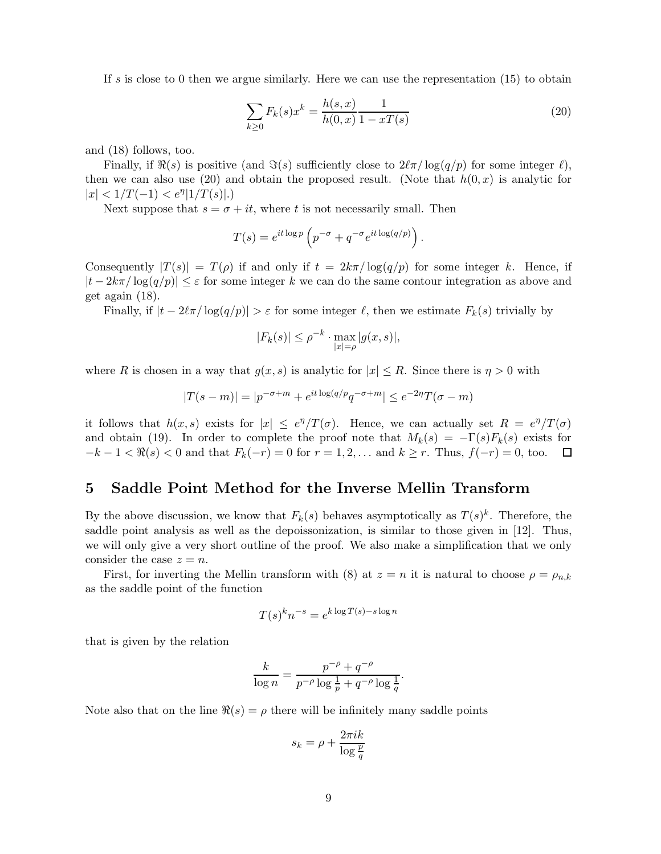If s is close to 0 then we argue similarly. Here we can use the representation  $(15)$  to obtain

$$
\sum_{k\geq 0} F_k(s)x^k = \frac{h(s,x)}{h(0,x)} \frac{1}{1 - xT(s)}
$$
\n(20)

and (18) follows, too.

Finally, if  $\Re(s)$  is positive (and  $\Im(s)$  sufficiently close to  $2\ell\pi/\log(q/p)$  for some integer  $\ell$ ), then we can also use (20) and obtain the proposed result. (Note that  $h(0, x)$  is analytic for  $|x| < 1/T(-1) < e^{\eta} |1/T(s)|.$ 

Next suppose that  $s = \sigma + it$ , where t is not necessarily small. Then

$$
T(s) = e^{it \log p} \left( p^{-\sigma} + q^{-\sigma} e^{it \log(q/p)} \right).
$$

Consequently  $|T(s)| = T(\rho)$  if and only if  $t = 2k\pi/\log(q/p)$  for some integer k. Hence, if  $|t - 2k\pi/\log(q/p)| \leq \varepsilon$  for some integer k we can do the same contour integration as above and get again (18).

Finally, if  $|t - 2\ell\pi/\log(q/p)| > \varepsilon$  for some integer  $\ell$ , then we estimate  $F_k(s)$  trivially by

$$
|F_k(s)| \le \rho^{-k} \cdot \max_{|x| = \rho} |g(x, s)|,
$$

where R is chosen in a way that  $g(x, s)$  is analytic for  $|x| \leq R$ . Since there is  $\eta > 0$  with

$$
|T(s - m)| = |p^{-\sigma + m} + e^{it \log(q/p)} q^{-\sigma + m}| \le e^{-2\eta} T(\sigma - m)
$$

it follows that  $h(x, s)$  exists for  $|x| \leq e^{\eta}/T(\sigma)$ . Hence, we can actually set  $R = e^{\eta}/T(\sigma)$ and obtain (19). In order to complete the proof note that  $M_k(s) = -\Gamma(s)F_k(s)$  exists for  $-k-1 < \Re(s) < 0$  and that  $F_k(-r) = 0$  for  $r = 1, 2, ...$  and  $k > r$ . Thus,  $f(-r) = 0$ , too.  $\Box$  $-k-1 < \Re(s) < 0$  and that  $F_k(-r) = 0$  for  $r = 1, 2, \ldots$  and  $k \ge r$ . Thus,  $f(-r) = 0$ , too.

## 5 Saddle Point Method for the Inverse Mellin Transform

By the above discussion, we know that  $F_k(s)$  behaves asymptotically as  $T(s)^k$ . Therefore, the saddle point analysis as well as the depoissonization, is similar to those given in [12]. Thus, we will only give a very short outline of the proof. We also make a simplification that we only consider the case  $z = n$ .

First, for inverting the Mellin transform with (8) at  $z = n$  it is natural to choose  $\rho = \rho_{n,k}$ as the saddle point of the function

$$
T(s)^k n^{-s} = e^{k \log T(s) - s \log n}
$$

that is given by the relation

$$
\frac{k}{\log n} = \frac{p^{-\rho} + q^{-\rho}}{p^{-\rho}\log\frac{1}{p} + q^{-\rho}\log\frac{1}{q}}.
$$

Note also that on the line  $\Re(s) = \rho$  there will be infinitely many saddle points

$$
s_k = \rho + \frac{2\pi i k}{\log \frac{p}{q}}
$$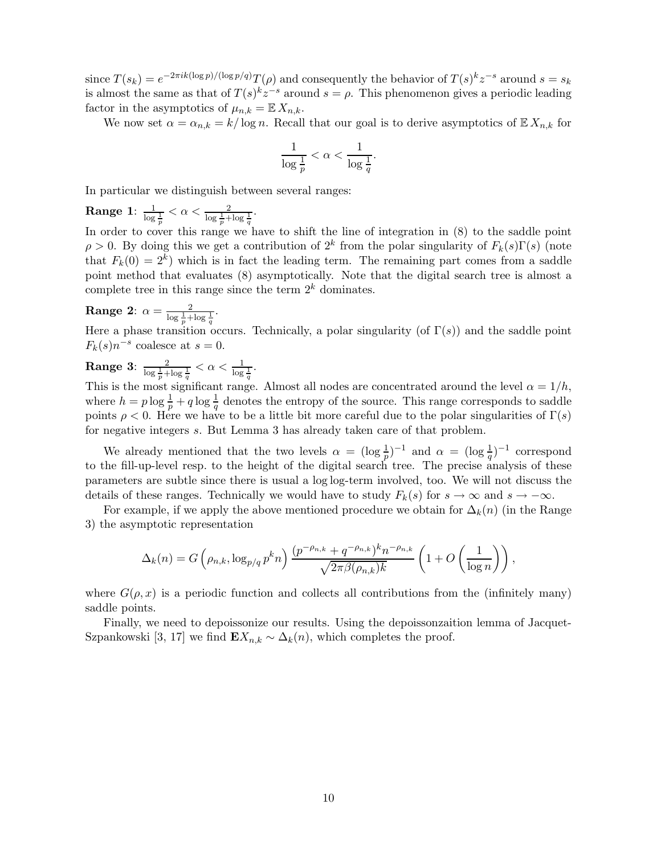since  $T(s_k) = e^{-2\pi i k (\log p)/((\log p/q)} T(\rho)$  and consequently the behavior of  $T(s)^k z^{-s}$  around  $s = s_k$ is almost the same as that of  $T(s)^k z^{-s}$  around  $s = \rho$ . This phenomenon gives a periodic leading factor in the asymptotics of  $\mu_{n,k} = \mathbb{E} X_{n,k}$ .

We now set  $\alpha = \alpha_{n,k} = k/\log n$ . Recall that our goal is to derive asymptotics of  $\mathbb{E} X_{n,k}$  for

$$
\frac{1}{\log \frac{1}{p}} < \alpha < \frac{1}{\log \frac{1}{q}}.
$$

In particular we distinguish between several ranges:

 $\textbf{Range 1: } \frac{1}{\log \frac{1}{p}} < \alpha < \frac{2}{\log \frac{1}{p} + \log \frac{1}{q}}.$ 

In order to cover this range we have to shift the line of integration in  $(8)$  to the saddle point  $\rho > 0$ . By doing this we get a contribution of  $2^k$  from the polar singularity of  $F_k(s)\Gamma(s)$  (note that  $F_k(0) = 2^k$ ) which is in fact the leading term. The remaining part comes from a saddle point method that evaluates (8) asymptotically. Note that the digital search tree is almost a complete tree in this range since the term  $2^k$  dominates.

**Range 2:** 
$$
\alpha = \frac{2}{\log \frac{1}{p} + \log \frac{1}{q}}
$$
.

Here a phase transition occurs. Technically, a polar singularity (of  $\Gamma(s)$ ) and the saddle point  $F_k(s)n^{-s}$  coalesce at  $s=0$ .

**Range 3:** 
$$
\frac{2}{\log \frac{1}{p} + \log \frac{1}{q}} < \alpha < \frac{1}{\log \frac{1}{q}}
$$
.

This is the most significant range. Almost all nodes are concentrated around the level  $\alpha = 1/h$ , where  $h = p \log \frac{1}{p} + q \log \frac{1}{q}$  denotes the entropy of the source. This range corresponds to saddle points  $\rho < 0$ . Here we have to be a little bit more careful due to the polar singularities of  $\Gamma(s)$ for negative integers s. But Lemma 3 has already taken care of that problem.

We already mentioned that the two levels  $\alpha = (\log \frac{1}{p})^{-1}$  and  $\alpha = (\log \frac{1}{q})^{-1}$  correspond to the fill-up-level resp. to the height of the digital search tree. The precise analysis of these parameters are subtle since there is usual a log log-term involved, too. We will not discuss the details of these ranges. Technically we would have to study  $F_k(s)$  for  $s \to \infty$  and  $s \to -\infty$ .

For example, if we apply the above mentioned procedure we obtain for  $\Delta_k(n)$  (in the Range 3) the asymptotic representation

$$
\Delta_k(n) = G\left(\rho_{n,k}, \log_{p/q} p^k n\right) \frac{(p^{-\rho_{n,k}} + q^{-\rho_{n,k}})^k n^{-\rho_{n,k}}}{\sqrt{2\pi \beta(\rho_{n,k})k}} \left(1 + O\left(\frac{1}{\log n}\right)\right),
$$

where  $G(\rho, x)$  is a periodic function and collects all contributions from the (infinitely many) saddle points.

Finally, we need to depoissonize our results. Using the depoissonzaition lemma of Jacquet-Szpankowski [3, 17] we find  $\mathbf{E}X_{n,k} \sim \Delta_k(n)$ , which completes the proof.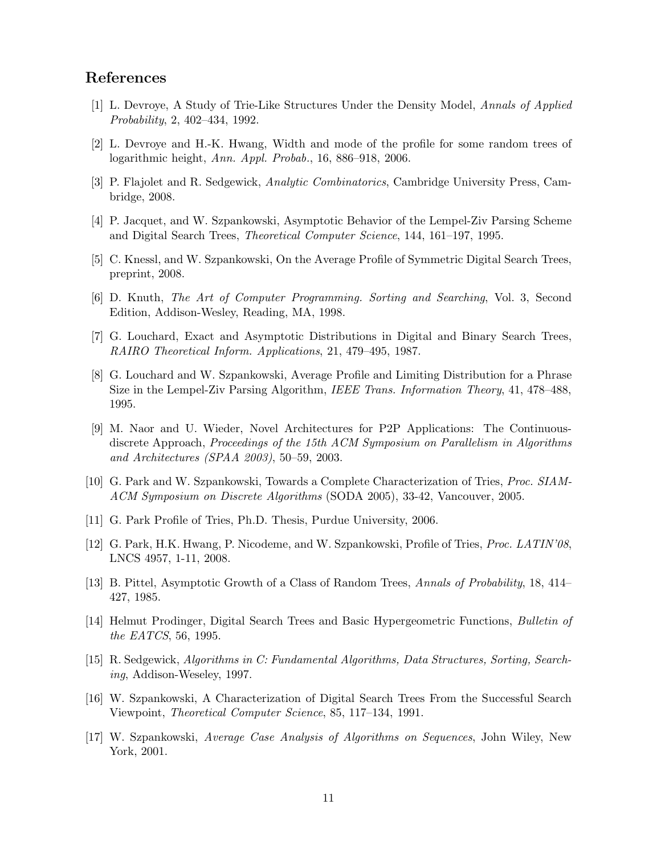### References

- [1] L. Devroye, A Study of Trie-Like Structures Under the Density Model, Annals of Applied Probability, 2, 402–434, 1992.
- [2] L. Devroye and H.-K. Hwang, Width and mode of the profile for some random trees of logarithmic height, Ann. Appl. Probab., 16, 886–918, 2006.
- [3] P. Flajolet and R. Sedgewick, Analytic Combinatorics, Cambridge University Press, Cambridge, 2008.
- [4] P. Jacquet, and W. Szpankowski, Asymptotic Behavior of the Lempel-Ziv Parsing Scheme and Digital Search Trees, Theoretical Computer Science, 144, 161–197, 1995.
- [5] C. Knessl, and W. Szpankowski, On the Average Profile of Symmetric Digital Search Trees, preprint, 2008.
- [6] D. Knuth, The Art of Computer Programming. Sorting and Searching, Vol. 3, Second Edition, Addison-Wesley, Reading, MA, 1998.
- [7] G. Louchard, Exact and Asymptotic Distributions in Digital and Binary Search Trees, RAIRO Theoretical Inform. Applications, 21, 479–495, 1987.
- [8] G. Louchard and W. Szpankowski, Average Profile and Limiting Distribution for a Phrase Size in the Lempel-Ziv Parsing Algorithm, IEEE Trans. Information Theory, 41, 478–488, 1995.
- [9] M. Naor and U. Wieder, Novel Architectures for P2P Applications: The Continuousdiscrete Approach, Proceedings of the 15th ACM Symposium on Parallelism in Algorithms and Architectures (SPAA 2003), 50–59, 2003.
- [10] G. Park and W. Szpankowski, Towards a Complete Characterization of Tries, Proc. SIAM-ACM Symposium on Discrete Algorithms (SODA 2005), 33-42, Vancouver, 2005.
- [11] G. Park Profile of Tries, Ph.D. Thesis, Purdue University, 2006.
- [12] G. Park, H.K. Hwang, P. Nicodeme, and W. Szpankowski, Profile of Tries, Proc. LATIN'08, LNCS 4957, 1-11, 2008.
- [13] B. Pittel, Asymptotic Growth of a Class of Random Trees, Annals of Probability, 18, 414– 427, 1985.
- [14] Helmut Prodinger, Digital Search Trees and Basic Hypergeometric Functions, Bulletin of the EATCS, 56, 1995.
- [15] R. Sedgewick, Algorithms in C: Fundamental Algorithms, Data Structures, Sorting, Searching, Addison-Weseley, 1997.
- [16] W. Szpankowski, A Characterization of Digital Search Trees From the Successful Search Viewpoint, Theoretical Computer Science, 85, 117–134, 1991.
- [17] W. Szpankowski, Average Case Analysis of Algorithms on Sequences, John Wiley, New York, 2001.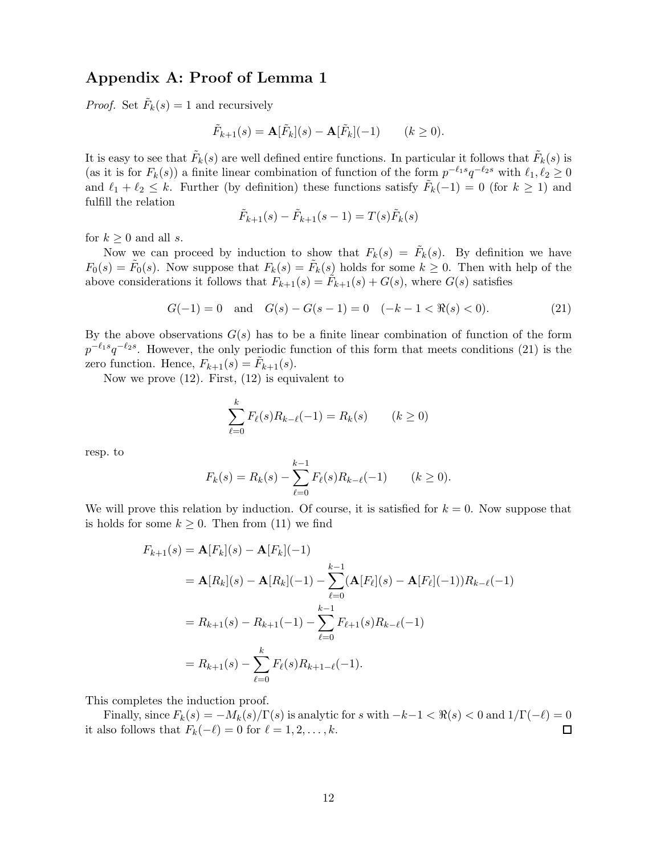## Appendix A: Proof of Lemma 1

*Proof.* Set  $\tilde{F}_k(s) = 1$  and recursively

$$
\tilde{F}_{k+1}(s) = \mathbf{A}[\tilde{F}_k](s) - \mathbf{A}[\tilde{F}_k](-1) \qquad (k \ge 0).
$$

It is easy to see that  $\tilde{F}_k(s)$  are well defined entire functions. In particular it follows that  $\tilde{F}_k(s)$  is (as it is for  $F_k(s)$ ) a finite linear combination of function of the form  $p^{-\ell_1 s}q^{-\ell_2 s}$  with  $\ell_1, \ell_2 \ge 0$ and  $\ell_1 + \ell_2 \leq k$ . Further (by definition) these functions satisfy  $\tilde{F}_k(-1) = 0$  (for  $k \geq 1$ ) and fulfill the relation

$$
\tilde{F}_{k+1}(s) - \tilde{F}_{k+1}(s-1) = T(s)\tilde{F}_k(s)
$$

for  $k \geq 0$  and all s.

Now we can proceed by induction to show that  $F_k(s) = \tilde{F}_k(s)$ . By definition we have  $F_0(s) = \tilde{F}_0(s)$ . Now suppose that  $F_k(s) = \tilde{F}_k(s)$  holds for some  $k \geq 0$ . Then with help of the above considerations it follows that  $F_{k+1}(s) = \tilde{F}_{k+1}(s) + G(s)$ , where  $G(s)$  satisfies

$$
G(-1) = 0 \quad \text{and} \quad G(s) - G(s - 1) = 0 \quad (-k - 1 < \Re(s) < 0). \tag{21}
$$

By the above observations  $G(s)$  has to be a finite linear combination of function of the form  $p^{-\ell_1 s}q^{-\ell_2 s}$ . However, the only periodic function of this form that meets conditions (21) is the zero function. Hence,  $F_{k+1}(s) = \tilde{F}_{k+1}(s)$ .

Now we prove (12). First, (12) is equivalent to

$$
\sum_{\ell=0}^{k} F_{\ell}(s) R_{k-\ell}(-1) = R_{k}(s) \qquad (k \ge 0)
$$

resp. to

$$
F_k(s) = R_k(s) - \sum_{\ell=0}^{k-1} F_\ell(s) R_{k-\ell}(-1) \qquad (k \ge 0).
$$

We will prove this relation by induction. Of course, it is satisfied for  $k = 0$ . Now suppose that is holds for some  $k \geq 0$ . Then from (11) we find

$$
F_{k+1}(s) = \mathbf{A}[F_k](s) - \mathbf{A}[F_k](-1)
$$
  
=  $\mathbf{A}[R_k](s) - \mathbf{A}[R_k](-1) - \sum_{\ell=0}^{k-1} (\mathbf{A}[F_\ell](s) - \mathbf{A}[F_\ell](-1))R_{k-\ell}(-1)$   
=  $R_{k+1}(s) - R_{k+1}(-1) - \sum_{\ell=0}^{k-1} F_{\ell+1}(s)R_{k-\ell}(-1)$   
=  $R_{k+1}(s) - \sum_{\ell=0}^{k} F_\ell(s)R_{k+1-\ell}(-1).$ 

This completes the induction proof.

Finally, since  $F_k(s) = -M_k(s)/\Gamma(s)$  is analytic for s with  $-k-1 < \Re(s) < 0$  and  $1/\Gamma(-\ell) = 0$ <br>lso follows that  $F_k(-\ell) = 0$  for  $\ell = 1, 2, ..., k$ . it also follows that  $F_k(-\ell) = 0$  for  $\ell = 1, 2, \ldots, k$ .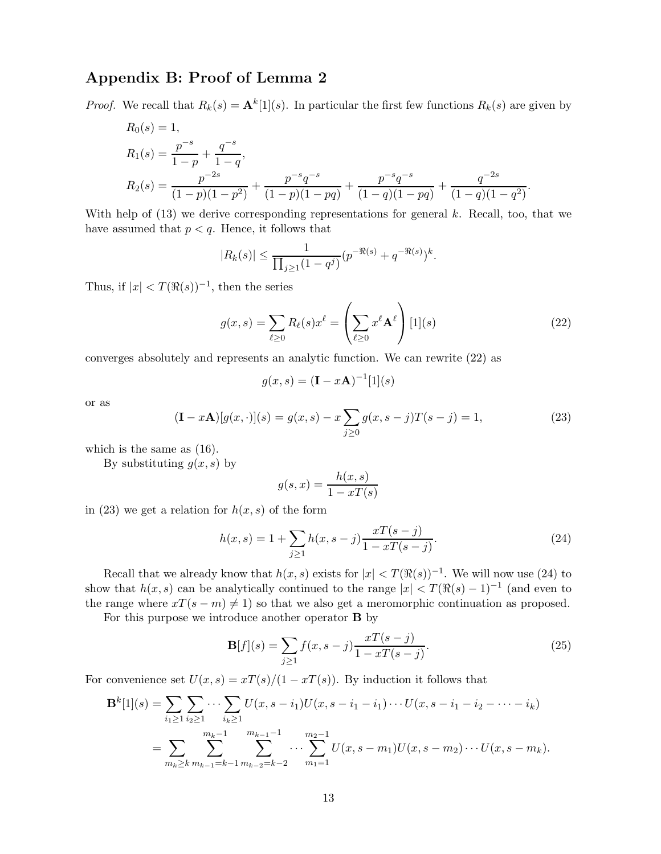## Appendix B: Proof of Lemma 2

*Proof.* We recall that  $R_k(s) = \mathbf{A}^k[1](s)$ . In particular the first few functions  $R_k(s)$  are given by

$$
R_0(s) = 1,
$$
  
\n
$$
R_1(s) = \frac{p^{-s}}{1-p} + \frac{q^{-s}}{1-q},
$$
  
\n
$$
R_2(s) = \frac{p^{-2s}}{(1-p)(1-p^2)} + \frac{p^{-s}q^{-s}}{(1-p)(1-pq)} + \frac{p^{-s}q^{-s}}{(1-q)(1-pq)} + \frac{q^{-2s}}{(1-q)(1-q^2)}.
$$

With help of  $(13)$  we derive corresponding representations for general k. Recall, too, that we have assumed that  $p < q$ . Hence, it follows that

$$
|R_k(s)| \le \frac{1}{\prod_{j\ge 1} (1-q^j)} (p^{-\Re(s)} + q^{-\Re(s)})^k.
$$

Thus, if  $|x| < T(\Re(s))^{-1}$ , then the series

$$
g(x,s) = \sum_{\ell \ge 0} R_{\ell}(s) x^{\ell} = \left(\sum_{\ell \ge 0} x^{\ell} \mathbf{A}^{\ell}\right) [1](s)
$$
 (22)

converges absolutely and represents an analytic function. We can rewrite (22) as

$$
g(x,s) = (\mathbf{I} - x\mathbf{A})^{-1}[1](s)
$$

or as

$$
(\mathbf{I} - x\mathbf{A})[g(x, \cdot)](s) = g(x, s) - x \sum_{j \ge 0} g(x, s - j)T(s - j) = 1,
$$
\n(23)

which is the same as (16).

By substituting  $g(x, s)$  by

$$
g(s,x) = \frac{h(x,s)}{1 - xT(s)}
$$

in (23) we get a relation for  $h(x, s)$  of the form

$$
h(x,s) = 1 + \sum_{j\geq 1} h(x,s-j) \frac{xT(s-j)}{1 - xT(s-j)}.
$$
\n(24)

Recall that we already know that  $h(x, s)$  exists for  $|x| < T(\Re(s))^{-1}$ . We will now use (24) to show that  $h(x, s)$  can be analytically continued to the range  $|x| < T(\Re(s) - 1)^{-1}$  (and even to the range where  $xT(s - m) \neq 1$  so that we also get a meromorphic continuation as proposed.

For this purpose we introduce another operator B by

$$
\mathbf{B}[f](s) = \sum_{j\geq 1} f(x, s-j) \frac{xT(s-j)}{1 - xT(s-j)}.
$$
\n(25)

For convenience set  $U(x, s) = xT(s)/(1 - xT(s))$ . By induction it follows that

$$
\mathbf{B}^{k}[1](s) = \sum_{i_{1} \geq 1} \sum_{i_{2} \geq 1} \cdots \sum_{i_{k} \geq 1} U(x, s - i_{1}) U(x, s - i_{1} - i_{1}) \cdots U(x, s - i_{1} - i_{2} - \cdots - i_{k})
$$
  
= 
$$
\sum_{m_{k} \geq k} \sum_{m_{k-1} = k-1}^{m_{k-1}} \sum_{m_{k-2} = k-2}^{m_{k-1}-1} \cdots \sum_{m_{1} = 1}^{m_{2} - 1} U(x, s - m_{1}) U(x, s - m_{2}) \cdots U(x, s - m_{k}).
$$